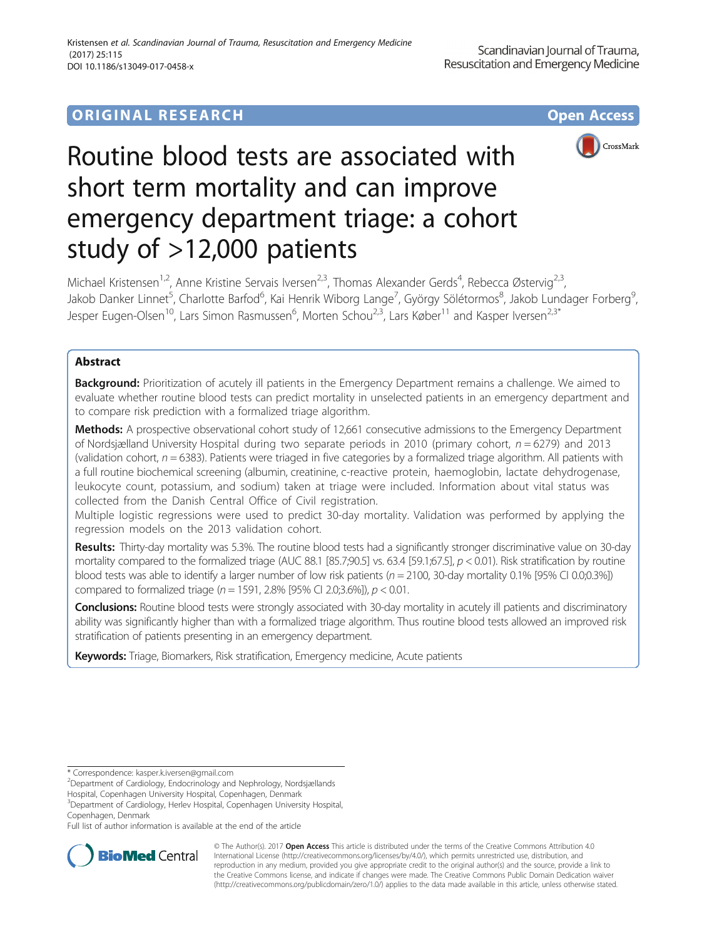# **ORIGINAL RESEARCH CONFIDENTIAL CONFIDENTIAL CONFIDENTIAL CONFIDENTIAL CONFIDENTIAL CONFIDENTIAL CONFIDENTIAL CONFIDENTIAL CONFIDENTIAL CONFIDENTIAL CONFIDENTIAL CONFIDENTIAL CONFIDENTIAL CONFIDENTIAL CONFIDENTIAL CONFIDEN**



# Routine blood tests are associated with short term mortality and can improve emergency department triage: a cohort study of >12,000 patients

Michael Kristensen<sup>1,2</sup>, Anne Kristine Servais Iversen<sup>2,3</sup>, Thomas Alexander Gerds<sup>4</sup>, Rebecca Østervig<sup>2,3</sup>, Jakob Danker Linnet<sup>5</sup>, Charlotte Barfod<sup>6</sup>, Kai Henrik Wiborg Lange<sup>7</sup>, György Sölétormos<sup>8</sup>, Jakob Lundager Forberg<sup>s</sup> , Jesper Eugen-Olsen<sup>10</sup>, Lars Simon Rasmussen<sup>6</sup>, Morten Schou<sup>2,3</sup>, Lars Køber<sup>11</sup> and Kasper Iversen<sup>2,3\*</sup>

# Abstract

**Background:** Prioritization of acutely ill patients in the Emergency Department remains a challenge. We aimed to evaluate whether routine blood tests can predict mortality in unselected patients in an emergency department and to compare risk prediction with a formalized triage algorithm.

Methods: A prospective observational cohort study of 12,661 consecutive admissions to the Emergency Department of Nordsjælland University Hospital during two separate periods in 2010 (primary cohort,  $n = 6279$ ) and 2013 (validation cohort,  $n = 6383$ ). Patients were triaged in five categories by a formalized triage algorithm. All patients with a full routine biochemical screening (albumin, creatinine, c-reactive protein, haemoglobin, lactate dehydrogenase, leukocyte count, potassium, and sodium) taken at triage were included. Information about vital status was collected from the Danish Central Office of Civil registration.

Multiple logistic regressions were used to predict 30-day mortality. Validation was performed by applying the regression models on the 2013 validation cohort.

Results: Thirty-day mortality was 5.3%. The routine blood tests had a significantly stronger discriminative value on 30-day mortality compared to the formalized triage (AUC 88.1 [85.7;90.5] vs. 63.4 [59.1;67.5],  $p < 0.01$ ). Risk stratification by routine blood tests was able to identify a larger number of low risk patients ( $n = 2100$ , 30-day mortality 0.1% [95% CI 0.0;0.3%]) compared to formalized triage ( $n = 1591, 2.8\%$  [95% CI 2.0;3.6%]),  $p < 0.01$ .

Conclusions: Routine blood tests were strongly associated with 30-day mortality in acutely ill patients and discriminatory ability was significantly higher than with a formalized triage algorithm. Thus routine blood tests allowed an improved risk stratification of patients presenting in an emergency department.

Keywords: Triage, Biomarkers, Risk stratification, Emergency medicine, Acute patients

3 Department of Cardiology, Herlev Hospital, Copenhagen University Hospital, Copenhagen, Denmark

Full list of author information is available at the end of the article



© The Author(s). 2017 **Open Access** This article is distributed under the terms of the Creative Commons Attribution 4.0 International License [\(http://creativecommons.org/licenses/by/4.0/](http://creativecommons.org/licenses/by/4.0/)), which permits unrestricted use, distribution, and reproduction in any medium, provided you give appropriate credit to the original author(s) and the source, provide a link to the Creative Commons license, and indicate if changes were made. The Creative Commons Public Domain Dedication waiver [\(http://creativecommons.org/publicdomain/zero/1.0/](http://creativecommons.org/publicdomain/zero/1.0/)) applies to the data made available in this article, unless otherwise stated.

<sup>\*</sup> Correspondence: [kasper.k.iversen@gmail.com](mailto:kasper.k.iversen@gmail.com) <sup>2</sup>

Department of Cardiology, Endocrinology and Nephrology, Nordsjællands

Hospital, Copenhagen University Hospital, Copenhagen, Denmark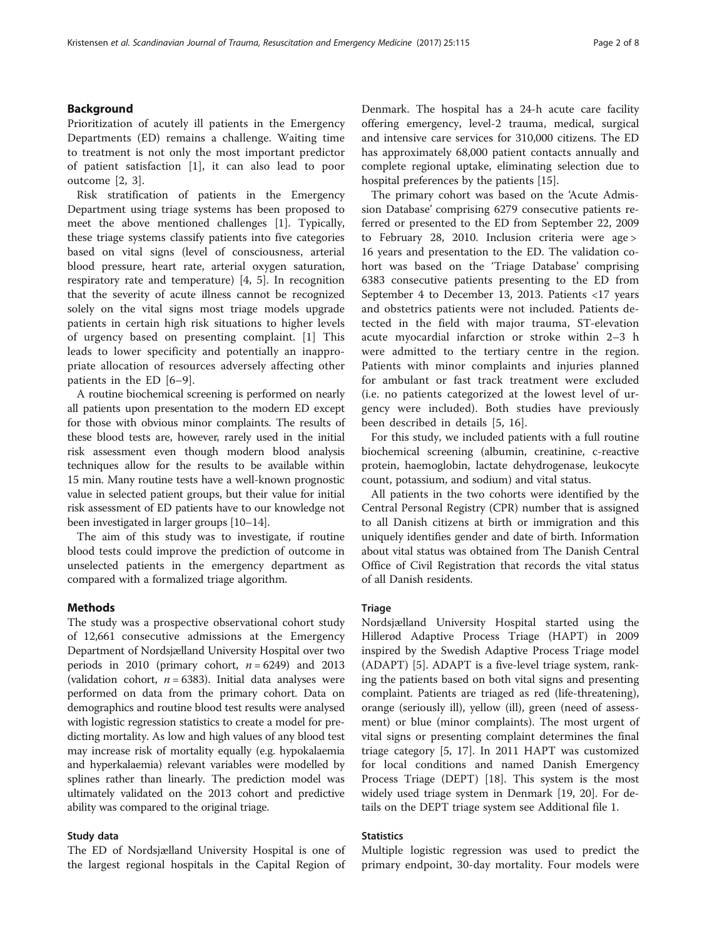# Background

Prioritization of acutely ill patients in the Emergency Departments (ED) remains a challenge. Waiting time to treatment is not only the most important predictor of patient satisfaction [[1](#page-6-0)], it can also lead to poor outcome [\[2](#page-6-0), [3](#page-7-0)].

Risk stratification of patients in the Emergency Department using triage systems has been proposed to meet the above mentioned challenges [[1\]](#page-6-0). Typically, these triage systems classify patients into five categories based on vital signs (level of consciousness, arterial blood pressure, heart rate, arterial oxygen saturation, respiratory rate and temperature) [[4, 5](#page-7-0)]. In recognition that the severity of acute illness cannot be recognized solely on the vital signs most triage models upgrade patients in certain high risk situations to higher levels of urgency based on presenting complaint. [[1](#page-6-0)] This leads to lower specificity and potentially an inappropriate allocation of resources adversely affecting other patients in the ED [[6](#page-7-0)–[9\]](#page-7-0).

A routine biochemical screening is performed on nearly all patients upon presentation to the modern ED except for those with obvious minor complaints. The results of these blood tests are, however, rarely used in the initial risk assessment even though modern blood analysis techniques allow for the results to be available within 15 min. Many routine tests have a well-known prognostic value in selected patient groups, but their value for initial risk assessment of ED patients have to our knowledge not been investigated in larger groups [\[10](#page-7-0)–[14](#page-7-0)].

The aim of this study was to investigate, if routine blood tests could improve the prediction of outcome in unselected patients in the emergency department as compared with a formalized triage algorithm.

# Methods

The study was a prospective observational cohort study of 12,661 consecutive admissions at the Emergency Department of Nordsjælland University Hospital over two periods in 2010 (primary cohort,  $n = 6249$ ) and 2013 (validation cohort,  $n = 6383$ ). Initial data analyses were performed on data from the primary cohort. Data on demographics and routine blood test results were analysed with logistic regression statistics to create a model for predicting mortality. As low and high values of any blood test may increase risk of mortality equally (e.g. hypokalaemia and hyperkalaemia) relevant variables were modelled by splines rather than linearly. The prediction model was ultimately validated on the 2013 cohort and predictive ability was compared to the original triage.

# Study data

The ED of Nordsjælland University Hospital is one of the largest regional hospitals in the Capital Region of

Denmark. The hospital has a 24-h acute care facility offering emergency, level-2 trauma, medical, surgical and intensive care services for 310,000 citizens. The ED has approximately 68,000 patient contacts annually and complete regional uptake, eliminating selection due to hospital preferences by the patients [[15\]](#page-7-0).

The primary cohort was based on the 'Acute Admission Database' comprising 6279 consecutive patients referred or presented to the ED from September 22, 2009 to February 28, 2010. Inclusion criteria were age > 16 years and presentation to the ED. The validation cohort was based on the 'Triage Database' comprising 6383 consecutive patients presenting to the ED from September 4 to December 13, 2013. Patients <17 years and obstetrics patients were not included. Patients detected in the field with major trauma, ST-elevation acute myocardial infarction or stroke within 2–3 h were admitted to the tertiary centre in the region. Patients with minor complaints and injuries planned for ambulant or fast track treatment were excluded (i.e. no patients categorized at the lowest level of urgency were included). Both studies have previously been described in details [[5, 16\]](#page-7-0).

For this study, we included patients with a full routine biochemical screening (albumin, creatinine, c-reactive protein, haemoglobin, lactate dehydrogenase, leukocyte count, potassium, and sodium) and vital status.

All patients in the two cohorts were identified by the Central Personal Registry (CPR) number that is assigned to all Danish citizens at birth or immigration and this uniquely identifies gender and date of birth. Information about vital status was obtained from The Danish Central Office of Civil Registration that records the vital status of all Danish residents.

## **Triage**

Nordsjælland University Hospital started using the Hillerød Adaptive Process Triage (HAPT) in 2009 inspired by the Swedish Adaptive Process Triage model (ADAPT) [[5\]](#page-7-0). ADAPT is a five-level triage system, ranking the patients based on both vital signs and presenting complaint. Patients are triaged as red (life-threatening), orange (seriously ill), yellow (ill), green (need of assessment) or blue (minor complaints). The most urgent of vital signs or presenting complaint determines the final triage category [[5, 17\]](#page-7-0). In 2011 HAPT was customized for local conditions and named Danish Emergency Process Triage (DEPT) [[18\]](#page-7-0). This system is the most widely used triage system in Denmark [[19, 20](#page-7-0)]. For details on the DEPT triage system see Additional file [1.](#page-6-0)

# **Statistics**

Multiple logistic regression was used to predict the primary endpoint, 30-day mortality. Four models were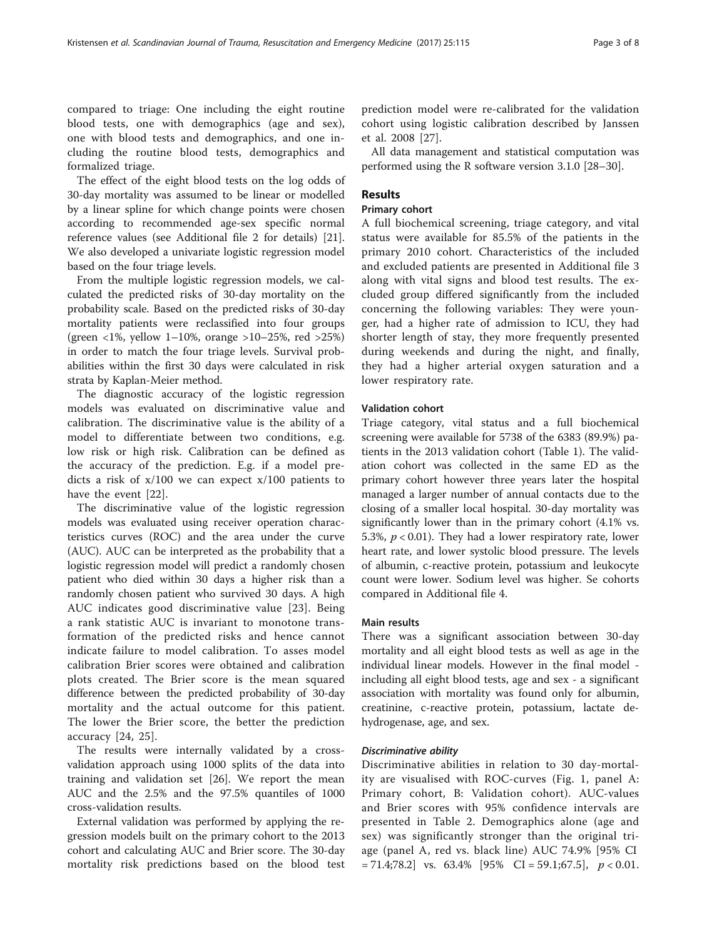compared to triage: One including the eight routine blood tests, one with demographics (age and sex), one with blood tests and demographics, and one including the routine blood tests, demographics and formalized triage.

The effect of the eight blood tests on the log odds of 30-day mortality was assumed to be linear or modelled by a linear spline for which change points were chosen according to recommended age-sex specific normal reference values (see Additional file [2](#page-6-0) for details) [\[21](#page-7-0)]. We also developed a univariate logistic regression model based on the four triage levels.

From the multiple logistic regression models, we calculated the predicted risks of 30-day mortality on the probability scale. Based on the predicted risks of 30-day mortality patients were reclassified into four groups (green <1%, yellow 1–10%, orange >10–25%, red >25%) in order to match the four triage levels. Survival probabilities within the first 30 days were calculated in risk strata by Kaplan-Meier method.

The diagnostic accuracy of the logistic regression models was evaluated on discriminative value and calibration. The discriminative value is the ability of a model to differentiate between two conditions, e.g. low risk or high risk. Calibration can be defined as the accuracy of the prediction. E.g. if a model predicts a risk of  $x/100$  we can expect  $x/100$  patients to have the event [\[22](#page-7-0)].

The discriminative value of the logistic regression models was evaluated using receiver operation characteristics curves (ROC) and the area under the curve (AUC). AUC can be interpreted as the probability that a logistic regression model will predict a randomly chosen patient who died within 30 days a higher risk than a randomly chosen patient who survived 30 days. A high AUC indicates good discriminative value [[23](#page-7-0)]. Being a rank statistic AUC is invariant to monotone transformation of the predicted risks and hence cannot indicate failure to model calibration. To asses model calibration Brier scores were obtained and calibration plots created. The Brier score is the mean squared difference between the predicted probability of 30-day mortality and the actual outcome for this patient. The lower the Brier score, the better the prediction accuracy [[24, 25\]](#page-7-0).

The results were internally validated by a crossvalidation approach using 1000 splits of the data into training and validation set [\[26](#page-7-0)]. We report the mean AUC and the 2.5% and the 97.5% quantiles of 1000 cross-validation results.

External validation was performed by applying the regression models built on the primary cohort to the 2013 cohort and calculating AUC and Brier score. The 30-day mortality risk predictions based on the blood test

prediction model were re-calibrated for the validation cohort using logistic calibration described by Janssen et al. 2008 [[27\]](#page-7-0).

All data management and statistical computation was performed using the R software version 3.1.0 [[28](#page-7-0)–[30](#page-7-0)].

# Results

# Primary cohort

A full biochemical screening, triage category, and vital status were available for 85.5% of the patients in the primary 2010 cohort. Characteristics of the included and excluded patients are presented in Additional file [3](#page-6-0) along with vital signs and blood test results. The excluded group differed significantly from the included concerning the following variables: They were younger, had a higher rate of admission to ICU, they had shorter length of stay, they more frequently presented during weekends and during the night, and finally, they had a higher arterial oxygen saturation and a lower respiratory rate.

# Validation cohort

Triage category, vital status and a full biochemical screening were available for 5738 of the 6383 (89.9%) patients in the 2013 validation cohort (Table [1\)](#page-3-0). The validation cohort was collected in the same ED as the primary cohort however three years later the hospital managed a larger number of annual contacts due to the closing of a smaller local hospital. 30-day mortality was significantly lower than in the primary cohort (4.1% vs. 5.3%,  $p < 0.01$ ). They had a lower respiratory rate, lower heart rate, and lower systolic blood pressure. The levels of albumin, c-reactive protein, potassium and leukocyte count were lower. Sodium level was higher. Se cohorts compared in Additional file [4](#page-6-0).

## Main results

There was a significant association between 30-day mortality and all eight blood tests as well as age in the individual linear models. However in the final model including all eight blood tests, age and sex - a significant association with mortality was found only for albumin, creatinine, c-reactive protein, potassium, lactate dehydrogenase, age, and sex.

# Discriminative ability

Discriminative abilities in relation to 30 day-mortality are visualised with ROC-curves (Fig. [1](#page-3-0), panel A: Primary cohort, B: Validation cohort). AUC-values and Brier scores with 95% confidence intervals are presented in Table [2](#page-4-0). Demographics alone (age and sex) was significantly stronger than the original triage (panel A, red vs. black line) AUC 74.9% [95% CI  $= 71.4;78.2$ ] vs. 63.4% [95% CI  $= 59.1;67.5$ ],  $p < 0.01$ .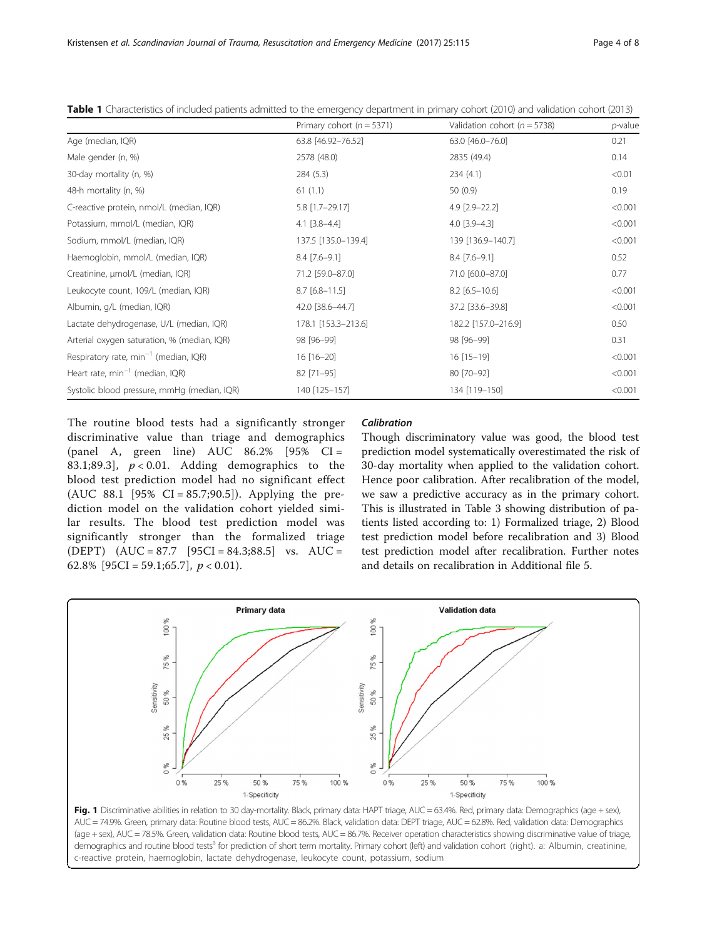|                                             | Primary cohort ( $n = 5371$ ) | Validation cohort ( $n = 5738$ ) | $p$ -value |
|---------------------------------------------|-------------------------------|----------------------------------|------------|
| Age (median, IQR)                           | 63.8 [46.92-76.52]            | 63.0 [46.0-76.0]                 | 0.21       |
| Male gender (n, %)                          | 2578 (48.0)                   | 2835 (49.4)                      | 0.14       |
| 30-day mortality (n, %)                     | 284 (5.3)                     | 234(4.1)                         | < 0.01     |
| 48-h mortality (n, %)                       | 61(1.1)                       | 50(0.9)                          | 0.19       |
| C-reactive protein, nmol/L (median, IQR)    | 5.8 [1.7-29.17]               | 4.9 [2.9-22.2]                   | < 0.001    |
| Potassium, mmol/L (median, IQR)             | $4.1$ [3.8-4.4]               | $4.0$ [3.9-4.3]                  | < 0.001    |
| Sodium, mmol/L (median, IQR)                | 137.5 [135.0-139.4]           | 139 [136.9-140.7]                | < 0.001    |
| Haemoglobin, mmol/L (median, IQR)           | $8.4$ [7.6-9.1]               | $8.4$ [7.6-9.1]                  | 0.52       |
| Creatinine, µmol/L (median, IQR)            | 71.2 [59.0-87.0]              | 71.0 [60.0-87.0]                 | 0.77       |
| Leukocyte count, 109/L (median, IQR)        | $8.7$ [6.8-11.5]              | $8.2$ [6.5-10.6]                 | < 0.001    |
| Albumin, g/L (median, IQR)                  | 42.0 [38.6-44.7]              | 37.2 [33.6-39.8]                 | < 0.001    |
| Lactate dehydrogenase, U/L (median, IQR)    | 178.1 [153.3-213.6]           | 182.2 [157.0-216.9]              | 0.50       |
| Arterial oxygen saturation, % (median, IQR) | 98 [96-99]                    | 98 [96-99]                       | 0.31       |
| Respiratory rate, $min^{-1}$ (median, IQR)  | $16$ [16-20]                  | $16$ [15-19]                     | < 0.001    |
| Heart rate, $min^{-1}$ (median, IQR)        | 82 [71-95]                    | 80 [70-92]                       | < 0.001    |
| Systolic blood pressure, mmHg (median, IQR) | 140 [125-157]                 | 134 [119-150]                    | < 0.001    |

<span id="page-3-0"></span>Table 1 Characteristics of included patients admitted to the emergency department in primary cohort (2010) and validation cohort (2013)

The routine blood tests had a significantly stronger discriminative value than triage and demographics (panel A, green line) AUC 86.2% [95% CI = 83.1;89.3],  $p < 0.01$ . Adding demographics to the blood test prediction model had no significant effect (AUC 88.1 [95% CI = 85.7;90.5]). Applying the prediction model on the validation cohort yielded similar results. The blood test prediction model was significantly stronger than the formalized triage (DEPT) (AUC = 87.7 [95CI = 84.3;88.5] vs. AUC = 62.8%  $[95CI = 59.1; 65.7], p < 0.01$ .

# Calibration

Though discriminatory value was good, the blood test prediction model systematically overestimated the risk of 30-day mortality when applied to the validation cohort. Hence poor calibration. After recalibration of the model, we saw a predictive accuracy as in the primary cohort. This is illustrated in Table [3](#page-4-0) showing distribution of patients listed according to: 1) Formalized triage, 2) Blood test prediction model before recalibration and 3) Blood test prediction model after recalibration. Further notes and details on recalibration in Additional file [5.](#page-6-0)



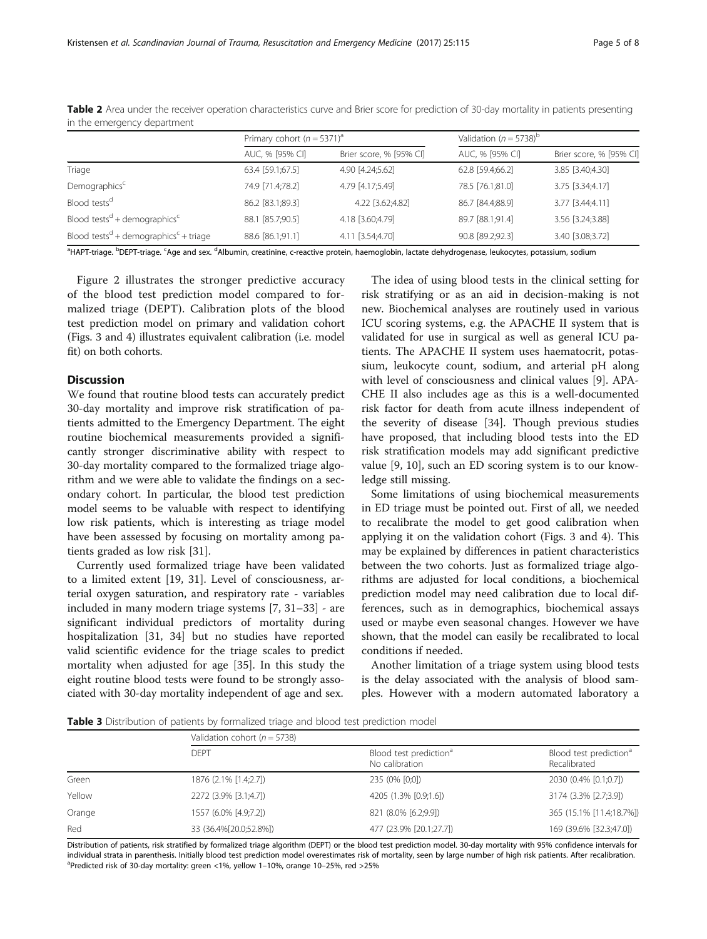|                                                               |                  | Primary cohort $(n = 5371)^a$ |                  | Validation ( $n = 5738$ ) <sup>b</sup> |  |
|---------------------------------------------------------------|------------------|-------------------------------|------------------|----------------------------------------|--|
|                                                               | AUC, % [95% CI]  | Brier score, % [95% CI]       | AUC, % [95% CI]  | Brier score, % [95% CI]                |  |
| Triage                                                        | 63.4 [59.1;67.5] | 4.90 [4.24;5.62]              | 62.8 [59.4;66.2] | 3.85 [3.40;4.30]                       |  |
| Demographics <sup>c</sup>                                     | 74.9 [71.4;78.2] | 4.79 [4.17;5.49]              | 78.5 [76.1;81.0] | 3.75 [3.34;4.17]                       |  |
| Blood tests <sup>d</sup>                                      | 86.2 [83.1;89.3] | 4.22 [3.62;4.82]              | 86.7 [84.4;88.9] | 3.77 [3.44;4.11]                       |  |
| Blood tests <sup>d</sup> + demographics <sup>c</sup>          | 88.1 [85.7;90.5] | 4.18 [3.60;4.79]              | 89.7 [88.1;91.4] | 3.56 [3.24;3.88]                       |  |
| Blood tests <sup>d</sup> + demographics <sup>c</sup> + triage | 88.6 [86.1;91.1] | 4.11 [3.54;4.70]              | 90.8 [89.2;92.3] | 3.40 [3.08;3.72]                       |  |

<span id="page-4-0"></span>Table 2 Area under the receiver operation characteristics curve and Brier score for prediction of 30-day mortality in patients presenting in the emergency department

<sup>a</sup>HAPT-triage. <sup>b</sup>DEPT-triage. <sup>c</sup>Age and sex. <sup>d</sup>Albumin, creatinine, c-reactive protein, haemoglobin, lactate dehydrogenase, leukocytes, potassium, sodium

Figure [2](#page-5-0) illustrates the stronger predictive accuracy of the blood test prediction model compared to formalized triage (DEPT). Calibration plots of the blood test prediction model on primary and validation cohort (Figs. [3](#page-5-0) and [4](#page-5-0)) illustrates equivalent calibration (i.e. model fit) on both cohorts.

# Discussion

We found that routine blood tests can accurately predict 30-day mortality and improve risk stratification of patients admitted to the Emergency Department. The eight routine biochemical measurements provided a significantly stronger discriminative ability with respect to 30-day mortality compared to the formalized triage algorithm and we were able to validate the findings on a secondary cohort. In particular, the blood test prediction model seems to be valuable with respect to identifying low risk patients, which is interesting as triage model have been assessed by focusing on mortality among patients graded as low risk [\[31](#page-7-0)].

Currently used formalized triage have been validated to a limited extent [[19, 31\]](#page-7-0). Level of consciousness, arterial oxygen saturation, and respiratory rate - variables included in many modern triage systems [[7, 31](#page-7-0)–[33](#page-7-0)] - are significant individual predictors of mortality during hospitalization [\[31](#page-7-0), [34\]](#page-7-0) but no studies have reported valid scientific evidence for the triage scales to predict mortality when adjusted for age [[35\]](#page-7-0). In this study the eight routine blood tests were found to be strongly associated with 30-day mortality independent of age and sex.

The idea of using blood tests in the clinical setting for risk stratifying or as an aid in decision-making is not new. Biochemical analyses are routinely used in various ICU scoring systems, e.g. the APACHE II system that is validated for use in surgical as well as general ICU patients. The APACHE II system uses haematocrit, potassium, leukocyte count, sodium, and arterial pH along with level of consciousness and clinical values [\[9](#page-7-0)]. APA-CHE II also includes age as this is a well-documented risk factor for death from acute illness independent of the severity of disease [\[34\]](#page-7-0). Though previous studies have proposed, that including blood tests into the ED risk stratification models may add significant predictive value [\[9](#page-7-0), [10](#page-7-0)], such an ED scoring system is to our knowledge still missing.

Some limitations of using biochemical measurements in ED triage must be pointed out. First of all, we needed to recalibrate the model to get good calibration when applying it on the validation cohort (Figs. [3](#page-5-0) and [4\)](#page-5-0). This may be explained by differences in patient characteristics between the two cohorts. Just as formalized triage algorithms are adjusted for local conditions, a biochemical prediction model may need calibration due to local differences, such as in demographics, biochemical assays used or maybe even seasonal changes. However we have shown, that the model can easily be recalibrated to local conditions if needed.

Another limitation of a triage system using blood tests is the delay associated with the analysis of blood samples. However with a modern automated laboratory a

**Table 3** Distribution of patients by formalized triage and blood test prediction model

|        | Validation cohort ( $n = 5738$ ) |                                                      |                                                    |  |  |
|--------|----------------------------------|------------------------------------------------------|----------------------------------------------------|--|--|
|        | <b>DFPT</b>                      | Blood test prediction <sup>a</sup><br>No calibration | Blood test prediction <sup>d</sup><br>Recalibrated |  |  |
| Green  | 1876 (2.1% [1.4;2.7])            | 235 (0% [0;0])                                       | 2030 (0.4% [0.1;0.7])                              |  |  |
| Yellow | 2272 (3.9% [3.1;4.7])            | 4205 (1.3% [0.9;1.6])                                | 3174 (3.3% [2.7;3.9])                              |  |  |
| Orange | 1557 (6.0% [4.9;7.2])            | 821 (8.0% [6.2;9.9])                                 | 365 (15.1% [11.4;18.7%])                           |  |  |
| Red    | 33 (36.4%[20.0;52.8%])           | 477 (23.9% [20.1;27.7])                              | 169 (39.6% [32.3;47.0])                            |  |  |

Distribution of patients, risk stratified by formalized triage algorithm (DEPT) or the blood test prediction model. 30-day mortality with 95% confidence intervals for individual strata in parenthesis. Initially blood test prediction model overestimates risk of mortality, seen by large number of high risk patients. After recalibration. a Predicted risk of 30-day mortality: green <1%, yellow 1–10%, orange 10–25%, red >25%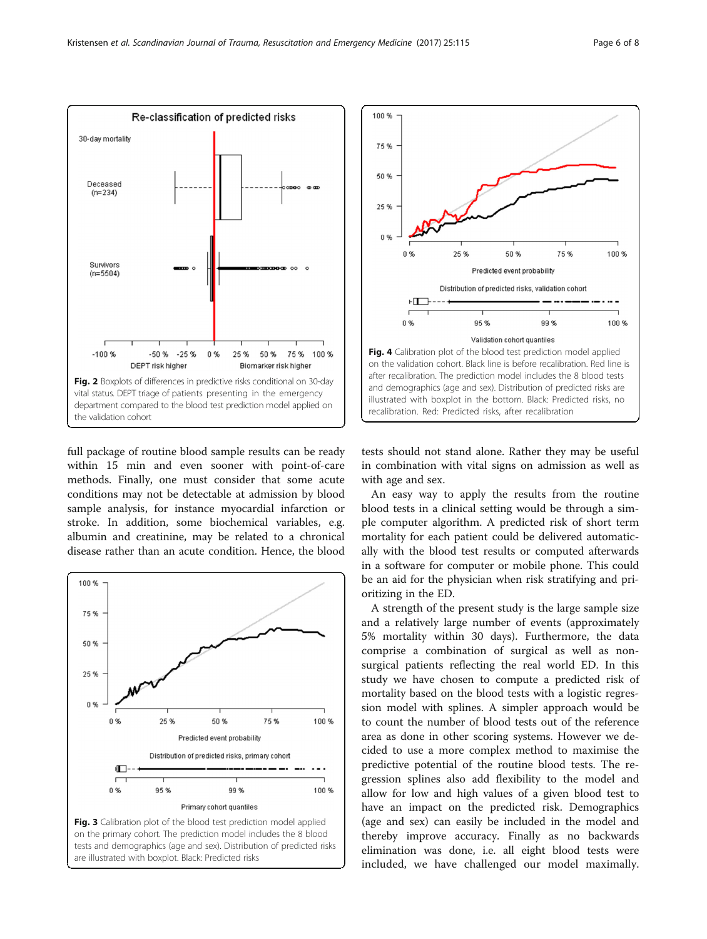<span id="page-5-0"></span>

full package of routine blood sample results can be ready within 15 min and even sooner with point-of-care methods. Finally, one must consider that some acute conditions may not be detectable at admission by blood sample analysis, for instance myocardial infarction or stroke. In addition, some biochemical variables, e.g. albumin and creatinine, may be related to a chronical disease rather than an acute condition. Hence, the blood





tests should not stand alone. Rather they may be useful in combination with vital signs on admission as well as with age and sex.

An easy way to apply the results from the routine blood tests in a clinical setting would be through a simple computer algorithm. A predicted risk of short term mortality for each patient could be delivered automatically with the blood test results or computed afterwards in a software for computer or mobile phone. This could be an aid for the physician when risk stratifying and prioritizing in the ED.

A strength of the present study is the large sample size and a relatively large number of events (approximately 5% mortality within 30 days). Furthermore, the data comprise a combination of surgical as well as nonsurgical patients reflecting the real world ED. In this study we have chosen to compute a predicted risk of mortality based on the blood tests with a logistic regression model with splines. A simpler approach would be to count the number of blood tests out of the reference area as done in other scoring systems. However we decided to use a more complex method to maximise the predictive potential of the routine blood tests. The regression splines also add flexibility to the model and allow for low and high values of a given blood test to have an impact on the predicted risk. Demographics (age and sex) can easily be included in the model and thereby improve accuracy. Finally as no backwards elimination was done, i.e. all eight blood tests were included, we have challenged our model maximally.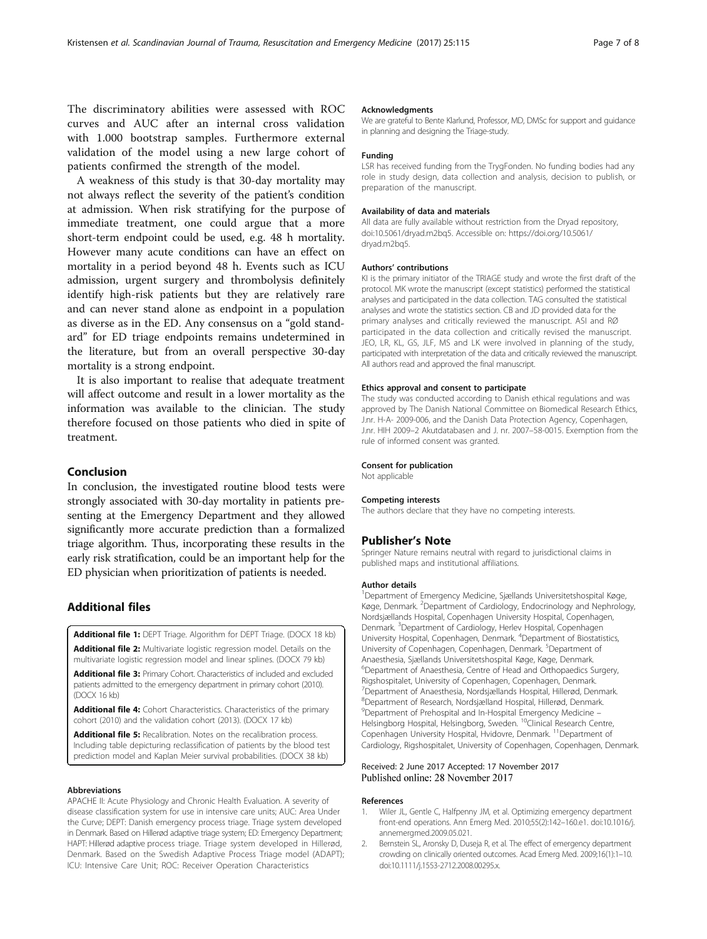<span id="page-6-0"></span>The discriminatory abilities were assessed with ROC curves and AUC after an internal cross validation with 1.000 bootstrap samples. Furthermore external validation of the model using a new large cohort of patients confirmed the strength of the model.

A weakness of this study is that 30-day mortality may not always reflect the severity of the patient's condition at admission. When risk stratifying for the purpose of immediate treatment, one could argue that a more short-term endpoint could be used, e.g. 48 h mortality. However many acute conditions can have an effect on mortality in a period beyond 48 h. Events such as ICU admission, urgent surgery and thrombolysis definitely identify high-risk patients but they are relatively rare and can never stand alone as endpoint in a population as diverse as in the ED. Any consensus on a "gold standard" for ED triage endpoints remains undetermined in the literature, but from an overall perspective 30-day mortality is a strong endpoint.

It is also important to realise that adequate treatment will affect outcome and result in a lower mortality as the information was available to the clinician. The study therefore focused on those patients who died in spite of treatment.

# Conclusion

In conclusion, the investigated routine blood tests were strongly associated with 30-day mortality in patients presenting at the Emergency Department and they allowed significantly more accurate prediction than a formalized triage algorithm. Thus, incorporating these results in the early risk stratification, could be an important help for the ED physician when prioritization of patients is needed.

# Additional files

[Additional file 1:](dx.doi.org/10.1186/s13049-017-0458-x) DEPT Triage. Algorithm for DEPT Triage. (DOCX 18 kb) [Additional file 2:](dx.doi.org/10.1186/s13049-017-0458-x) Multivariate logistic regression model. Details on the multivariate logistic regression model and linear splines. (DOCX 79 kb)

[Additional file 3:](dx.doi.org/10.1186/s13049-017-0458-x) Primary Cohort. Characteristics of included and excluded patients admitted to the emergency department in primary cohort (2010). (DOCX 16 kb)

[Additional file 4:](dx.doi.org/10.1186/s13049-017-0458-x) Cohort Characteristics. Characteristics of the primary cohort (2010) and the validation cohort (2013). (DOCX 17 kb)

[Additional file 5:](dx.doi.org/10.1186/s13049-017-0458-x) Recalibration. Notes on the recalibration process. Including table depicturing reclassification of patients by the blood test prediction model and Kaplan Meier survival probabilities. (DOCX 38 kb)

#### Abbreviations

APACHE II: Acute Physiology and Chronic Health Evaluation. A severity of disease classification system for use in intensive care units; AUC: Area Under the Curve; DEPT: Danish emergency process triage. Triage system developed in Denmark. Based on Hillerød adaptive triage system; ED: Emergency Department; HAPT: Hillerød adaptive process triage. Triage system developed in Hillerød, Denmark. Based on the Swedish Adaptive Process Triage model (ADAPT); ICU: Intensive Care Unit; ROC: Receiver Operation Characteristics

#### Acknowledgments

We are grateful to Bente Klarlund, Professor, MD, DMSc for support and guidance in planning and designing the Triage-study.

### Funding

LSR has received funding from the TrygFonden. No funding bodies had any role in study design, data collection and analysis, decision to publish, or preparation of the manuscript.

# Availability of data and materials

All data are fully available without restriction from the Dryad repository, doi:[10.5061/dryad.m2bq5.](http://dx.doi.org/10.5061/dryad.m2bq5) Accessible on: [https://doi.org/10.5061/](https://doi.org/10.5061/dryad.m2bq5) [dryad.m2bq5](https://doi.org/10.5061/dryad.m2bq5).

#### Authors' contributions

KI is the primary initiator of the TRIAGE study and wrote the first draft of the protocol. MK wrote the manuscript (except statistics) performed the statistical analyses and participated in the data collection. TAG consulted the statistical analyses and wrote the statistics section. CB and JD provided data for the primary analyses and critically reviewed the manuscript. ASI and RØ participated in the data collection and critically revised the manuscript. JEO, LR, KL, GS, JLF, MS and LK were involved in planning of the study, participated with interpretation of the data and critically reviewed the manuscript. All authors read and approved the final manuscript.

#### Ethics approval and consent to participate

The study was conducted according to Danish ethical regulations and was approved by The Danish National Committee on Biomedical Research Ethics, J.nr. H-A- 2009-006, and the Danish Data Protection Agency, Copenhagen, J.nr. HIH 2009–2 Akutdatabasen and J. nr. 2007–58-0015. Exemption from the rule of informed consent was granted.

#### Consent for publication

Not applicable

#### Competing interests

The authors declare that they have no competing interests.

#### Publisher's Note

Springer Nature remains neutral with regard to jurisdictional claims in published maps and institutional affiliations.

#### Author details

1 Department of Emergency Medicine, Sjællands Universitetshospital Køge, Køge, Denmark. <sup>2</sup>Department of Cardiology, Endocrinology and Nephrology Nordsjællands Hospital, Copenhagen University Hospital, Copenhagen, Denmark. <sup>3</sup>Department of Cardiology, Herlev Hospital, Copenhagen University Hospital, Copenhagen, Denmark. <sup>4</sup> Department of Biostatistics, University of Copenhagen, Copenhagen, Denmark. <sup>5</sup>Department of Anaesthesia, Sjællands Universitetshospital Køge, Køge, Denmark. 6 Department of Anaesthesia, Centre of Head and Orthopaedics Surgery, Rigshospitalet, University of Copenhagen, Copenhagen, Denmark. 7 Department of Anaesthesia, Nordsjællands Hospital, Hillerød, Denmark. 8 Department of Research, Nordsjælland Hospital, Hillerød, Denmark. 9 Department of Prehospital and In-Hospital Emergency Medicine – Helsingborg Hospital, Helsingborg, Sweden. 10Clinical Research Centre, Copenhagen University Hospital, Hvidovre, Denmark. <sup>11</sup>Department of Cardiology, Rigshospitalet, University of Copenhagen, Copenhagen, Denmark.

# Received: 2 June 2017 Accepted: 17 November 2017<br>Published online: 28 November 2017

#### References

- 1. Wiler JL, Gentle C, Halfpenny JM, et al. Optimizing emergency department front-end operations. Ann Emerg Med. 2010;55(2):142–160.e1. doi[:10.1016/j.](http://dx.doi.org/10.1016/j.annemergmed.2009.05.021) [annemergmed.2009.05.021](http://dx.doi.org/10.1016/j.annemergmed.2009.05.021).
- Bernstein SL, Aronsky D, Duseja R, et al. The effect of emergency department crowding on clinically oriented outcomes. Acad Emerg Med. 2009;16(1):1–10. doi:[10.1111/j.1553-2712.2008.00295.x](http://dx.doi.org/10.1111/j.1553-2712.2008.00295.x).